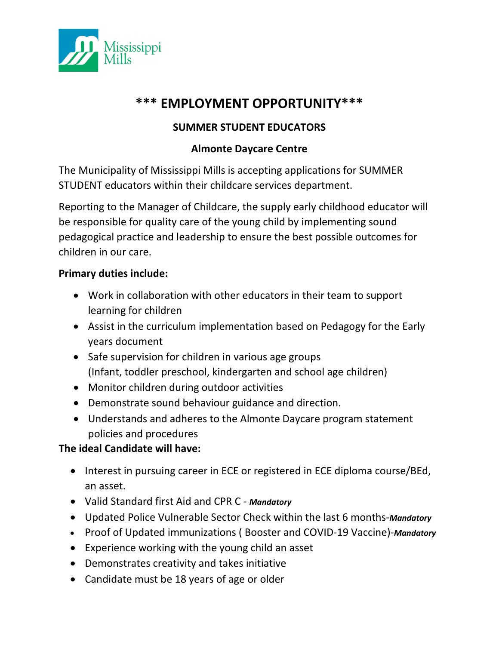

# **\*\*\* EMPLOYMENT OPPORTUNITY\*\*\***

## **SUMMER STUDENT EDUCATORS**

#### **Almonte Daycare Centre**

The Municipality of Mississippi Mills is accepting applications for SUMMER STUDENT educators within their childcare services department.

Reporting to the Manager of Childcare, the supply early childhood educator will be responsible for quality care of the young child by implementing sound pedagogical practice and leadership to ensure the best possible outcomes for children in our care.

#### **Primary duties include:**

- Work in collaboration with other educators in their team to support learning for children
- Assist in the curriculum implementation based on Pedagogy for the Early years document
- Safe supervision for children in various age groups (Infant, toddler preschool, kindergarten and school age children)
- Monitor children during outdoor activities
- Demonstrate sound behaviour guidance and direction.
- Understands and adheres to the Almonte Daycare program statement policies and procedures

### **The ideal Candidate will have:**

- Interest in pursuing career in ECE or registered in ECE diploma course/BEd, an asset.
- Valid Standard first Aid and CPR C *- Mandatory*
- Updated Police Vulnerable Sector Check within the last 6 months-*Mandatory*
- Proof of Updated immunizations ( Booster and COVID-19 Vaccine)-*Mandatory*
- Experience working with the young child an asset
- Demonstrates creativity and takes initiative
- Candidate must be 18 years of age or older